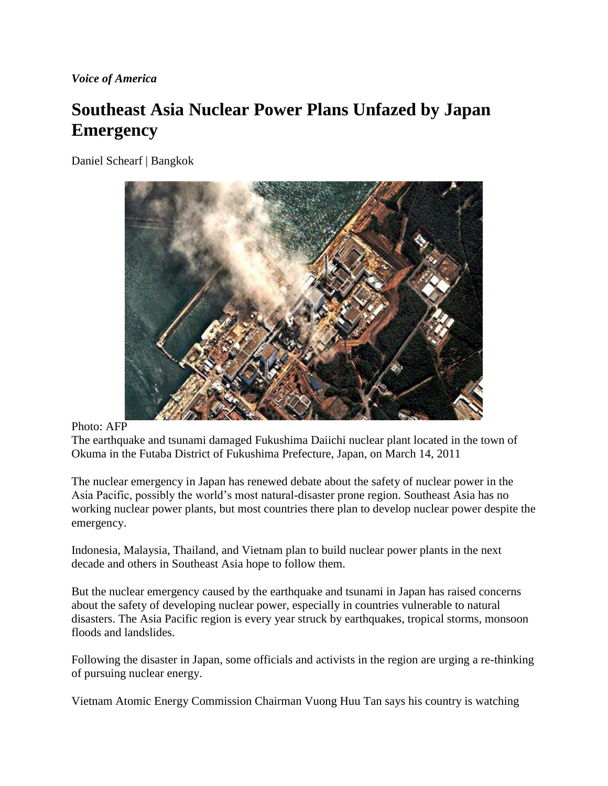*Voice of America*

## **Southeast Asia Nuclear Power Plans Unfazed by Japan Emergency**

Daniel Schearf | Bangkok



## Photo: AFP

The earthquake and tsunami damaged Fukushima Daiichi nuclear plant located in the town of Okuma in the Futaba District of Fukushima Prefecture, Japan, on March 14, 2011

The nuclear emergency in Japan has renewed debate about the safety of nuclear power in the Asia Pacific, possibly the world's most natural-disaster prone region. Southeast Asia has no working nuclear power plants, but most countries there plan to develop nuclear power despite the emergency.

Indonesia, Malaysia, Thailand, and Vietnam plan to build nuclear power plants in the next decade and others in Southeast Asia hope to follow them.

But the nuclear emergency caused by the earthquake and tsunami in Japan has raised concerns about the safety of developing nuclear power, especially in countries vulnerable to natural disasters. The Asia Pacific region is every year struck by earthquakes, tropical storms, monsoon floods and landslides.

Following the disaster in Japan, some officials and activists in the region are urging a re-thinking of pursuing nuclear energy.

Vietnam Atomic Energy Commission Chairman Vuong Huu Tan says his country is watching